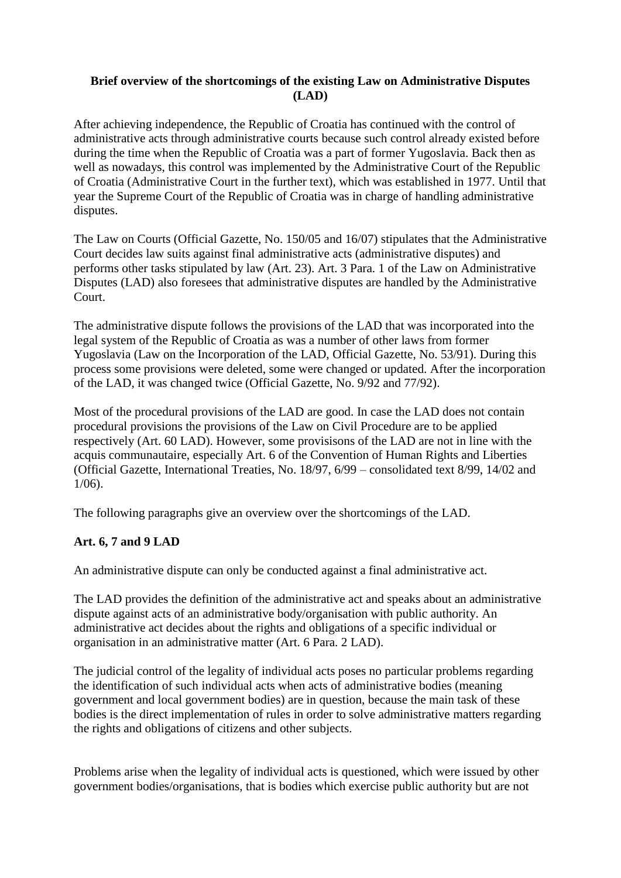## **Brief overview of the shortcomings of the existing Law on Administrative Disputes (LAD)**

After achieving independence, the Republic of Croatia has continued with the control of administrative acts through administrative courts because such control already existed before during the time when the Republic of Croatia was a part of former Yugoslavia. Back then as well as nowadays, this control was implemented by the Administrative Court of the Republic of Croatia (Administrative Court in the further text), which was established in 1977. Until that year the Supreme Court of the Republic of Croatia was in charge of handling administrative disputes.

The Law on Courts (Official Gazette, No. 150/05 and 16/07) stipulates that the Administrative Court decides law suits against final administrative acts (administrative disputes) and performs other tasks stipulated by law (Art. 23). Art. 3 Para. 1 of the Law on Administrative Disputes (LAD) also foresees that administrative disputes are handled by the Administrative Court.

The administrative dispute follows the provisions of the LAD that was incorporated into the legal system of the Republic of Croatia as was a number of other laws from former Yugoslavia (Law on the Incorporation of the LAD, Official Gazette, No. 53/91). During this process some provisions were deleted, some were changed or updated. After the incorporation of the LAD, it was changed twice (Official Gazette, No. 9/92 and 77/92).

Most of the procedural provisions of the LAD are good. In case the LAD does not contain procedural provisions the provisions of the Law on Civil Procedure are to be applied respectively (Art. 60 LAD). However, some provisisons of the LAD are not in line with the acquis communautaire, especially Art. 6 of the Convention of Human Rights and Liberties (Official Gazette, International Treaties, No. 18/97, 6/99 – consolidated text 8/99, 14/02 and 1/06).

The following paragraphs give an overview over the shortcomings of the LAD.

## **Art. 6, 7 and 9 LAD**

An administrative dispute can only be conducted against a final administrative act.

The LAD provides the definition of the administrative act and speaks about an administrative dispute against acts of an administrative body/organisation with public authority. An administrative act decides about the rights and obligations of a specific individual or organisation in an administrative matter (Art. 6 Para. 2 LAD).

The judicial control of the legality of individual acts poses no particular problems regarding the identification of such individual acts when acts of administrative bodies (meaning government and local government bodies) are in question, because the main task of these bodies is the direct implementation of rules in order to solve administrative matters regarding the rights and obligations of citizens and other subjects.

Problems arise when the legality of individual acts is questioned, which were issued by other government bodies/organisations, that is bodies which exercise public authority but are not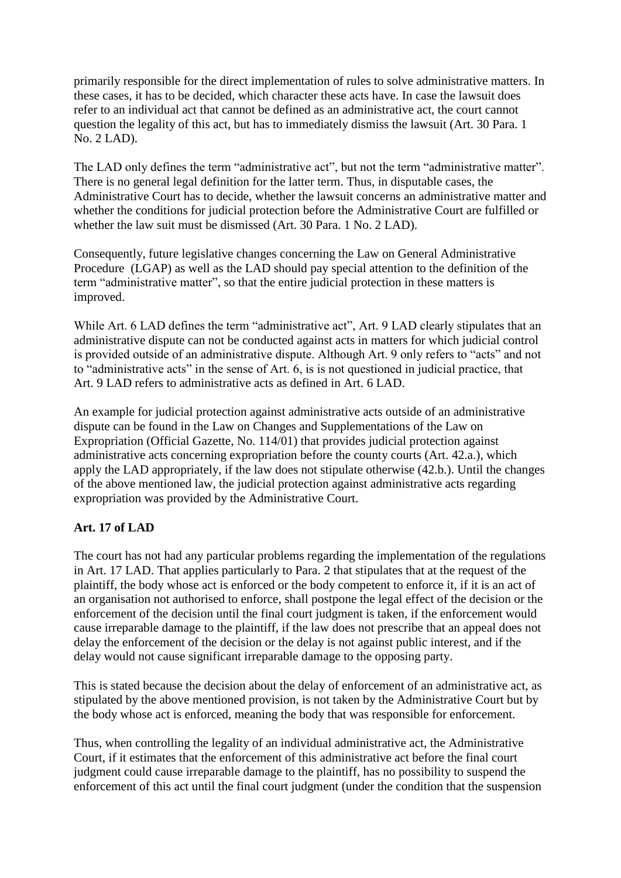primarily responsible for the direct implementation of rules to solve administrative matters. In these cases, it has to be decided, which character these acts have. In case the lawsuit does refer to an individual act that cannot be defined as an administrative act, the court cannot question the legality of this act, but has to immediately dismiss the lawsuit (Art. 30 Para. 1 No. 2 LAD).

The LAD only defines the term "administrative act", but not the term "administrative matter". There is no general legal definition for the latter term. Thus, in disputable cases, the Administrative Court has to decide, whether the lawsuit concerns an administrative matter and whether the conditions for judicial protection before the Administrative Court are fulfilled or whether the law suit must be dismissed (Art. 30 Para. 1 No. 2 LAD).

Consequently, future legislative changes concerning the Law on General Administrative Procedure (LGAP) as well as the LAD should pay special attention to the definition of the term "administrative matter", so that the entire judicial protection in these matters is improved.

While Art. 6 LAD defines the term "administrative act", Art. 9 LAD clearly stipulates that an administrative dispute can not be conducted against acts in matters for which judicial control is provided outside of an administrative dispute. Although Art. 9 only refers to "acts" and not to "administrative acts" in the sense of Art. 6, is is not questioned in judicial practice, that Art. 9 LAD refers to administrative acts as defined in Art. 6 LAD.

An example for judicial protection against administrative acts outside of an administrative dispute can be found in the Law on Changes and Supplementations of the Law on Expropriation (Official Gazette, No. 114/01) that provides judicial protection against administrative acts concerning expropriation before the county courts (Art. 42.a.), which apply the LAD appropriately, if the law does not stipulate otherwise (42.b.). Until the changes of the above mentioned law, the judicial protection against administrative acts regarding expropriation was provided by the Administrative Court.

## **Art. 17 of LAD**

The court has not had any particular problems regarding the implementation of the regulations in Art. 17 LAD. That applies particularly to Para. 2 that stipulates that at the request of the plaintiff, the body whose act is enforced or the body competent to enforce it, if it is an act of an organisation not authorised to enforce, shall postpone the legal effect of the decision or the enforcement of the decision until the final court judgment is taken, if the enforcement would cause irreparable damage to the plaintiff, if the law does not prescribe that an appeal does not delay the enforcement of the decision or the delay is not against public interest, and if the delay would not cause significant irreparable damage to the opposing party.

This is stated because the decision about the delay of enforcement of an administrative act, as stipulated by the above mentioned provision, is not taken by the Administrative Court but by the body whose act is enforced, meaning the body that was responsible for enforcement.

Thus, when controlling the legality of an individual administrative act, the Administrative Court, if it estimates that the enforcement of this administrative act before the final court judgment could cause irreparable damage to the plaintiff, has no possibility to suspend the enforcement of this act until the final court judgment (under the condition that the suspension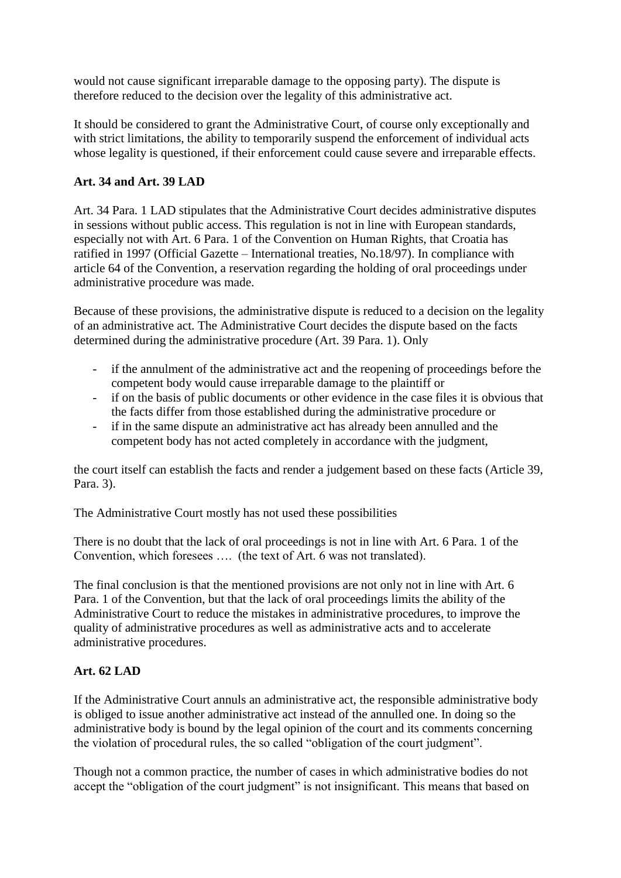would not cause significant irreparable damage to the opposing party). The dispute is therefore reduced to the decision over the legality of this administrative act.

It should be considered to grant the Administrative Court, of course only exceptionally and with strict limitations, the ability to temporarily suspend the enforcement of individual acts whose legality is questioned, if their enforcement could cause severe and irreparable effects.

## **Art. 34 and Art. 39 LAD**

Art. 34 Para. 1 LAD stipulates that the Administrative Court decides administrative disputes in sessions without public access. This regulation is not in line with European standards, especially not with Art. 6 Para. 1 of the Convention on Human Rights, that Croatia has ratified in 1997 (Official Gazette – International treaties, No.18/97). In compliance with article 64 of the Convention, a reservation regarding the holding of oral proceedings under administrative procedure was made.

Because of these provisions, the administrative dispute is reduced to a decision on the legality of an administrative act. The Administrative Court decides the dispute based on the facts determined during the administrative procedure (Art. 39 Para. 1). Only

- if the annulment of the administrative act and the reopening of proceedings before the competent body would cause irreparable damage to the plaintiff or
- if on the basis of public documents or other evidence in the case files it is obvious that the facts differ from those established during the administrative procedure or
- if in the same dispute an administrative act has already been annulled and the competent body has not acted completely in accordance with the judgment,

the court itself can establish the facts and render a judgement based on these facts (Article 39, Para. 3).

The Administrative Court mostly has not used these possibilities

There is no doubt that the lack of oral proceedings is not in line with Art. 6 Para. 1 of the Convention, which foresees …. (the text of Art. 6 was not translated).

The final conclusion is that the mentioned provisions are not only not in line with Art. 6 Para. 1 of the Convention, but that the lack of oral proceedings limits the ability of the Administrative Court to reduce the mistakes in administrative procedures, to improve the quality of administrative procedures as well as administrative acts and to accelerate administrative procedures.

# **Art. 62 LAD**

If the Administrative Court annuls an administrative act, the responsible administrative body is obliged to issue another administrative act instead of the annulled one. In doing so the administrative body is bound by the legal opinion of the court and its comments concerning the violation of procedural rules, the so called "obligation of the court judgment".

Though not a common practice, the number of cases in which administrative bodies do not accept the "obligation of the court judgment" is not insignificant. This means that based on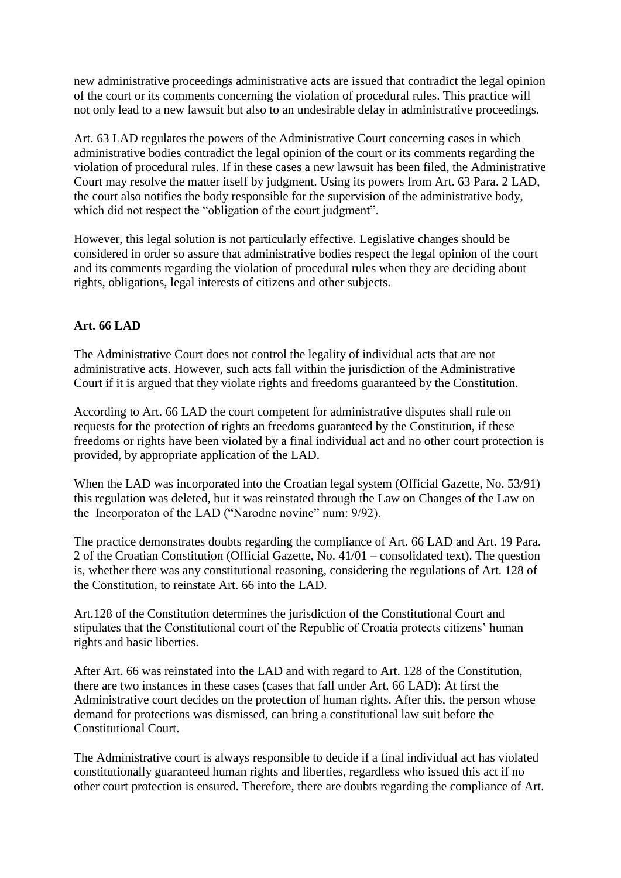new administrative proceedings administrative acts are issued that contradict the legal opinion of the court or its comments concerning the violation of procedural rules. This practice will not only lead to a new lawsuit but also to an undesirable delay in administrative proceedings.

Art. 63 LAD regulates the powers of the Administrative Court concerning cases in which administrative bodies contradict the legal opinion of the court or its comments regarding the violation of procedural rules. If in these cases a new lawsuit has been filed, the Administrative Court may resolve the matter itself by judgment. Using its powers from Art. 63 Para. 2 LAD, the court also notifies the body responsible for the supervision of the administrative body, which did not respect the "obligation of the court judgment".

However, this legal solution is not particularly effective. Legislative changes should be considered in order so assure that administrative bodies respect the legal opinion of the court and its comments regarding the violation of procedural rules when they are deciding about rights, obligations, legal interests of citizens and other subjects.

# **Art. 66 LAD**

The Administrative Court does not control the legality of individual acts that are not administrative acts. However, such acts fall within the jurisdiction of the Administrative Court if it is argued that they violate rights and freedoms guaranteed by the Constitution.

According to Art. 66 LAD the court competent for administrative disputes shall rule on requests for the protection of rights an freedoms guaranteed by the Constitution, if these freedoms or rights have been violated by a final individual act and no other court protection is provided, by appropriate application of the LAD.

When the LAD was incorporated into the Croatian legal system (Official Gazette, No. 53/91) this regulation was deleted, but it was reinstated through the Law on Changes of the Law on the Incorporaton of the LAD ("Narodne novine" num: 9/92).

The practice demonstrates doubts regarding the compliance of Art. 66 LAD and Art. 19 Para. 2 of the Croatian Constitution (Official Gazette, No. 41/01 – consolidated text). The question is, whether there was any constitutional reasoning, considering the regulations of Art. 128 of the Constitution, to reinstate Art. 66 into the LAD.

Art.128 of the Constitution determines the jurisdiction of the Constitutional Court and stipulates that the Constitutional court of the Republic of Croatia protects citizens' human rights and basic liberties.

After Art. 66 was reinstated into the LAD and with regard to Art. 128 of the Constitution, there are two instances in these cases (cases that fall under Art. 66 LAD): At first the Administrative court decides on the protection of human rights. After this, the person whose demand for protections was dismissed, can bring a constitutional law suit before the Constitutional Court.

The Administrative court is always responsible to decide if a final individual act has violated constitutionally guaranteed human rights and liberties, regardless who issued this act if no other court protection is ensured. Therefore, there are doubts regarding the compliance of Art.